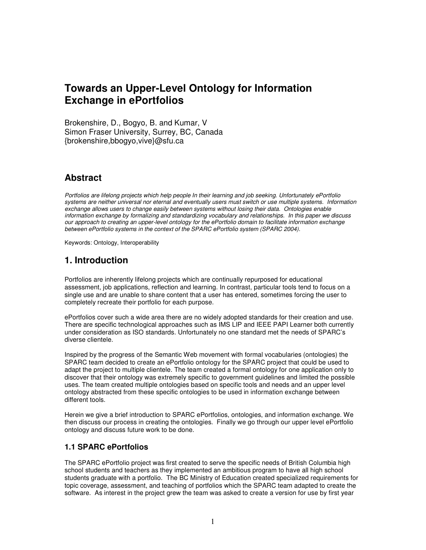# **Towards an Upper-Level Ontology for Information Exchange in ePortfolios**

Brokenshire, D., Bogyo, B. and Kumar, V Simon Fraser University, Surrey, BC, Canada {brokenshire,bbogyo,vive}@sfu.ca

## **Abstract**

*Portfolios are lifelong projects which help people In their learning and job seeking. Unfortunately ePortfolio systems are neither universal nor eternal and eventually users must switch or use multiple systems. Information exchange allows users to change easily between systems without losing their data. Ontologies enable information exchange by formalizing and standardizing vocabulary and relationships. In this paper we discuss our approach to creating an upper-level ontology for the ePortfolio domain to facilitate information exchange between ePortfolio systems in the context of the SPARC ePortfolio system (SPARC 2004).*

Keywords: Ontology, Interoperability

## **1. Introduction**

Portfolios are inherently lifelong projects which are continually repurposed for educational assessment, job applications, reflection and learning. In contrast, particular tools tend to focus on a single use and are unable to share content that a user has entered, sometimes forcing the user to completely recreate their portfolio for each purpose.

ePortfolios cover such a wide area there are no widely adopted standards for their creation and use. There are specific technological approaches such as IMS LIP and IEEE PAPI Learner both currently under consideration as ISO standards. Unfortunately no one standard met the needs of SPARC's diverse clientele.

Inspired by the progress of the Semantic Web movement with formal vocabularies (ontologies) the SPARC team decided to create an ePortfolio ontology for the SPARC project that could be used to adapt the project to multiple clientele. The team created a formal ontology for one application only to discover that their ontology was extremely specific to government guidelines and limited the possible uses. The team created multiple ontologies based on specific tools and needs and an upper level ontology abstracted from these specific ontologies to be used in information exchange between different tools.

Herein we give a brief introduction to SPARC ePortfolios, ontologies, and information exchange. We then discuss our process in creating the ontologies. Finally we go through our upper level ePortfolio ontology and discuss future work to be done.

#### **1.1 SPARC ePortfolios**

The SPARC ePortfolio project was first created to serve the specific needs of British Columbia high school students and teachers as they implemented an ambitious program to have all high school students graduate with a portfolio. The BC Ministry of Education created specialized requirements for topic coverage, assessment, and teaching of portfolios which the SPARC team adapted to create the software. As interest in the project grew the team was asked to create a version for use by first year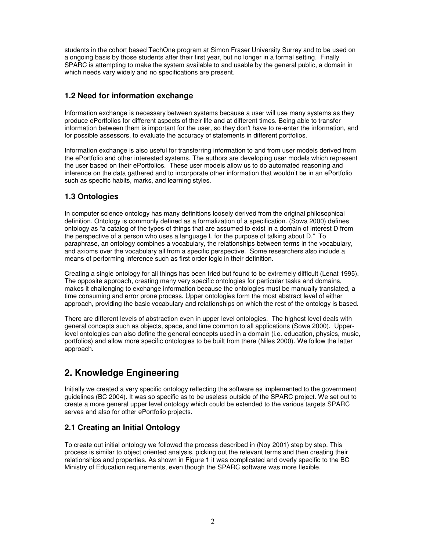students in the cohort based TechOne program at Simon Fraser University Surrey and to be used on a ongoing basis by those students after their first year, but no longer in a formal setting. Finally SPARC is attempting to make the system available to and usable by the general public, a domain in which needs vary widely and no specifications are present.

#### **1.2 Need for information exchange**

Information exchange is necessary between systems because a user will use many systems as they produce ePortfolios for different aspects of their life and at different times. Being able to transfer information between them is important for the user, so they don't have to re-enter the information, and for possible assessors, to evaluate the accuracy of statements in different portfolios.

Information exchange is also useful for transferring information to and from user models derived from the ePortfolio and other interested systems. The authors are developing user models which represent the user based on their ePortfolios. These user models allow us to do automated reasoning and inference on the data gathered and to incorporate other information that wouldn't be in an ePortfolio such as specific habits, marks, and learning styles.

#### **1.3 Ontologies**

In computer science ontology has many definitions loosely derived from the original philosophical definition. Ontology is commonly defined as a formalization of a specification. (Sowa 2000) defines ontology as "a catalog of the types of things that are assumed to exist in a domain of interest D from the perspective of a person who uses a language L for the purpose of talking about D." To paraphrase, an ontology combines a vocabulary, the relationships between terms in the vocabulary, and axioms over the vocabulary all from a specific perspective. Some researchers also include a means of performing inference such as first order logic in their definition.

Creating a single ontology for all things has been tried but found to be extremely difficult (Lenat 1995). The opposite approach, creating many very specific ontologies for particular tasks and domains, makes it challenging to exchange information because the ontologies must be manually translated, a time consuming and error prone process. Upper ontologies form the most abstract level of either approach, providing the basic vocabulary and relationships on which the rest of the ontology is based.

There are different levels of abstraction even in upper level ontologies. The highest level deals with general concepts such as objects, space, and time common to all applications (Sowa 2000). Upperlevel ontologies can also define the general concepts used in a domain (i.e. education, physics, music, portfolios) and allow more specific ontologies to be built from there (Niles 2000). We follow the latter approach.

## **2. Knowledge Engineering**

Initially we created a very specific ontology reflecting the software as implemented to the government guidelines (BC 2004). It was so specific as to be useless outside of the SPARC project. We set out to create a more general upper level ontology which could be extended to the various targets SPARC serves and also for other ePortfolio projects.

#### **2.1 Creating an Initial Ontology**

To create out initial ontology we followed the process described in (Noy 2001) step by step. This process is similar to object oriented analysis, picking out the relevant terms and then creating their relationships and properties. As shown in Figure 1 it was complicated and overly specific to the BC Ministry of Education requirements, even though the SPARC software was more flexible.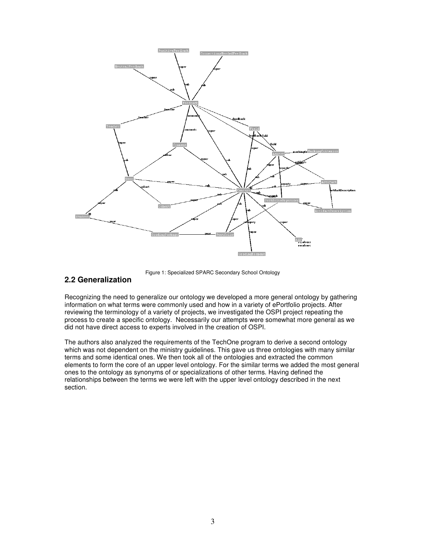

Figure 1: Specialized SPARC Secondary School Ontology

#### **2.2 Generalization**

Recognizing the need to generalize our ontology we developed a more general ontology by gathering information on what terms were commonly used and how in a variety of ePortfolio projects. After reviewing the terminology of a variety of projects, we investigated the OSPI project repeating the process to create a specific ontology. Necessarily our attempts were somewhat more general as we did not have direct access to experts involved in the creation of OSPI.

The authors also analyzed the requirements of the TechOne program to derive a second ontology which was not dependent on the ministry guidelines. This gave us three ontologies with many similar terms and some identical ones. We then took all of the ontologies and extracted the common elements to form the core of an upper level ontology. For the similar terms we added the most general ones to the ontology as synonyms of or specializations of other terms. Having defined the relationships between the terms we were left with the upper level ontology described in the next section.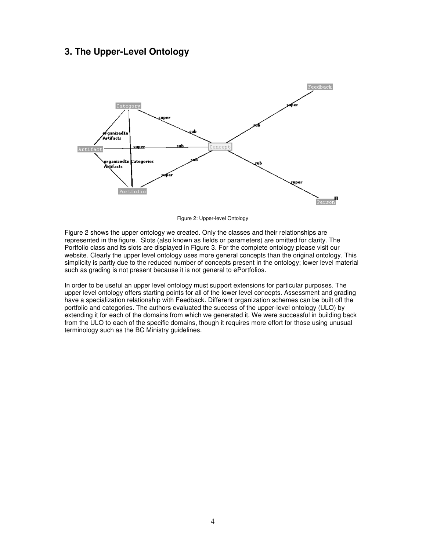### **3. The Upper-Level Ontology**



Figure 2: Upper-level Ontology

Figure 2 shows the upper ontology we created. Only the classes and their relationships are represented in the figure. Slots (also known as fields or parameters) are omitted for clarity. The Portfolio class and its slots are displayed in Figure 3. For the complete ontology please visit our website. Clearly the upper level ontology uses more general concepts than the original ontology. This simplicity is partly due to the reduced number of concepts present in the ontology; lower level material such as grading is not present because it is not general to ePortfolios.

In order to be useful an upper level ontology must support extensions for particular purposes. The upper level ontology offers starting points for all of the lower level concepts. Assessment and grading have a specialization relationship with Feedback. Different organization schemes can be built off the portfolio and categories. The authors evaluated the success of the upper-level ontology (ULO) by extending it for each of the domains from which we generated it. We were successful in building back from the ULO to each of the specific domains, though it requires more effort for those using unusual terminology such as the BC Ministry guidelines.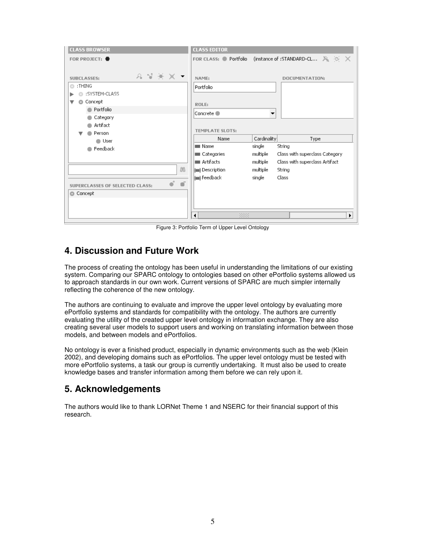| <b>CLASS BROWSER</b>                                                                                                                                         | <b>CLASS EDITOR</b>                                                                        |                                                      |                                                                                               |
|--------------------------------------------------------------------------------------------------------------------------------------------------------------|--------------------------------------------------------------------------------------------|------------------------------------------------------|-----------------------------------------------------------------------------------------------|
| FOR PROJECT:                                                                                                                                                 | FOR CLASS: Portfolio                                                                       |                                                      | (instance of :STANDARD-CL $\mathbb{A}_k \times \mathbb{X}$                                    |
| $2$ $\sqrt{2}$ $\sqrt{2}$ $\sqrt{2}$<br><b>SUBCLASSES:</b><br>$\Box$ : THING<br>:SYSTEM-CLASS<br>Concept<br>o<br>Portfolio<br>Category<br>Artifact<br>Person | NAME:<br>DOCUMENTATION:<br>Portfolio<br>ROLE:<br>Concrete ●<br>▼<br><b>TEMPLATE SLOTS:</b> |                                                      |                                                                                               |
| $\bullet$ User                                                                                                                                               | Name                                                                                       | Cardinality                                          | Type                                                                                          |
| Feedback<br>88                                                                                                                                               | <b>■ Name</b><br>Categories<br>Artifacts<br>(m) Description<br>(m) feedback                | single<br>multiple<br>multiple<br>multiple<br>single | String<br>Class with superclass Category<br>Class with superclass Artifact<br>String<br>Class |
| œ<br>SUPERCLASSES OF SELECTED CLASS:                                                                                                                         |                                                                                            |                                                      |                                                                                               |
| Concept                                                                                                                                                      |                                                                                            |                                                      |                                                                                               |
|                                                                                                                                                              | 3338<br>۰                                                                                  |                                                      | ▶                                                                                             |

Figure 3: Portfolio Term of Upper Level Ontology

## **4. Discussion and Future Work**

The process of creating the ontology has been useful in understanding the limitations of our existing system. Comparing our SPARC ontology to ontologies based on other ePortfolio systems allowed us to approach standards in our own work. Current versions of SPARC are much simpler internally reflecting the coherence of the new ontology.

The authors are continuing to evaluate and improve the upper level ontology by evaluating more ePortfolio systems and standards for compatibility with the ontology. The authors are currently evaluating the utility of the created upper level ontology in information exchange. They are also creating several user models to support users and working on translating information between those models, and between models and ePortfolios.

No ontology is ever a finished product, especially in dynamic environments such as the web (Klein 2002), and developing domains such as ePortfolios. The upper level ontology must be tested with more ePortfolio systems, a task our group is currently undertaking. It must also be used to create knowledge bases and transfer information among them before we can rely upon it.

## **5. Acknowledgements**

The authors would like to thank LORNet Theme 1 and NSERC for their financial support of this research.